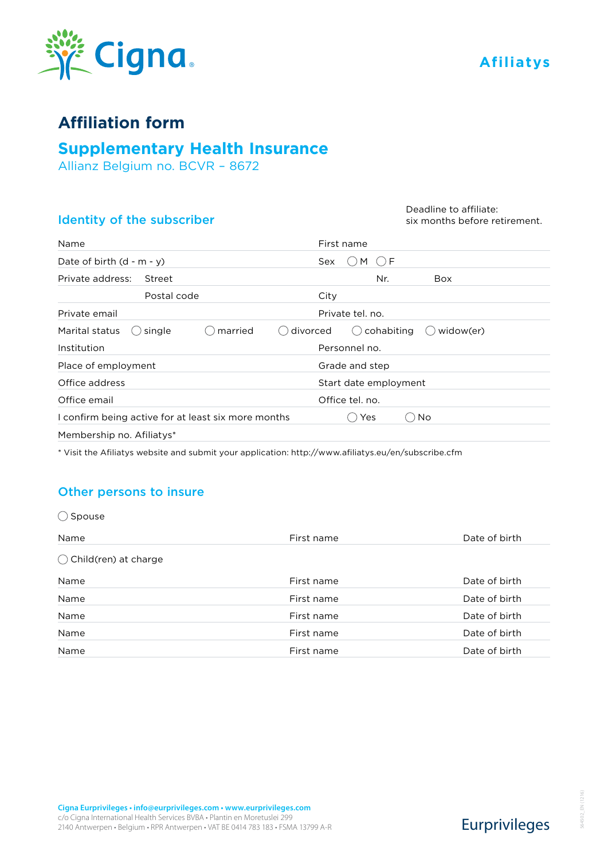



## **Affiliation form**

# **Supplementary Health Insurance**

Allianz Belgium no. BCVR – 8672

## Identity of the subscriber

#### Deadline to affiliate: six months before retirement.

| Name                                                | First name                   |
|-----------------------------------------------------|------------------------------|
| Date of birth $(d - m - y)$                         | ⊖ F<br>M<br>Sex              |
| Private address:<br>Street                          | Nr.<br><b>Box</b>            |
| Postal code                                         | City                         |
| Private email                                       | Private tel. no.             |
| married<br>divorced<br>Marital status<br>single     | cohabiting<br>widow(er)<br>( |
| Institution                                         | Personnel no.                |
| Place of employment                                 | Grade and step               |
| Office address                                      | Start date employment        |
| Office email                                        | Office tel. no.              |
| I confirm being active for at least six more months | Yes<br>No                    |
| Membership no. Afiliatys*                           |                              |

\* Visit the Afiliatys website and submit your application: http://www.afiliatys.eu/en/subscribe.cfm

### Other persons to insure

| Spouse (                        |            |               |
|---------------------------------|------------|---------------|
| Name                            | First name | Date of birth |
| $\bigcirc$ Child(ren) at charge |            |               |
| Name                            | First name | Date of birth |
| Name                            | First name | Date of birth |
| Name                            | First name | Date of birth |
| Name                            | First name | Date of birth |
| Name                            | First name | Date of birth |

Eurprivileges